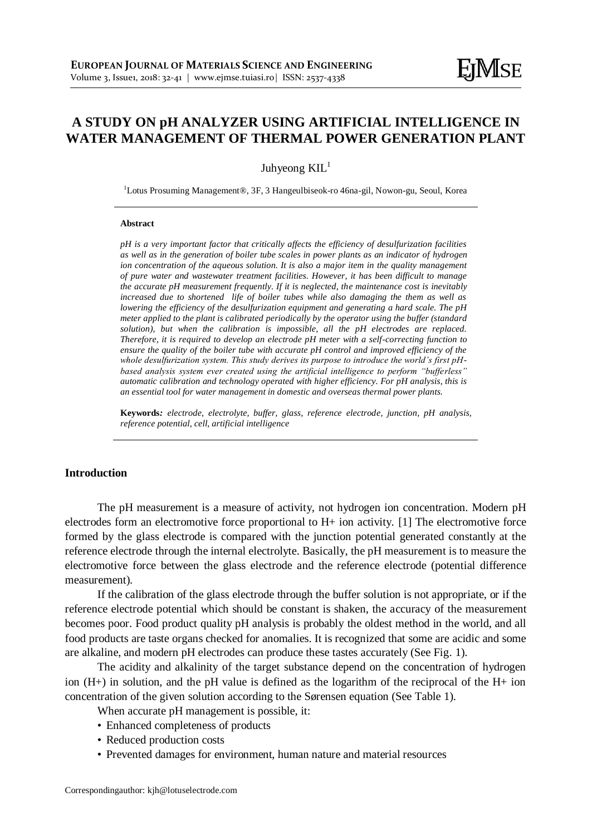# **A STUDY ON pH ANALYZER USING ARTIFICIAL INTELLIGENCE IN WATER MANAGEMENT OF THERMAL POWER GENERATION PLANT**

Juhyeong  $KIL<sup>1</sup>$ 

<sup>1</sup>Lotus Prosuming Management®, 3F, 3 Hangeulbiseok-ro 46na-gil, Nowon-gu, Seoul, Korea

#### **Abstract**

*pH is a very important factor that critically affects the efficiency of desulfurization facilities as well as in the generation of boiler tube scales in power plants as an indicator of hydrogen ion concentration of the aqueous solution. It is also a major item in the quality management of pure water and wastewater treatment facilities. However, it has been difficult to manage the accurate pH measurement frequently. If it is neglected, the maintenance cost is inevitably increased due to shortened life of boiler tubes while also damaging the them as well as lowering the efficiency of the desulfurization equipment and generating a hard scale. The pH meter applied to the plant is calibrated periodically by the operator using the buffer (standard solution), but when the calibration is impossible, all the pH electrodes are replaced. Therefore, it is required to develop an electrode pH meter with a self-correcting function to ensure the quality of the boiler tube with accurate pH control and improved efficiency of the whole desulfurization system. This study derives its purpose to introduce the world's first pHbased analysis system ever created using the artificial intelligence to perform "bufferless" automatic calibration and technology operated with higher efficiency. For pH analysis, this is an essential tool for water management in domestic and overseas thermal power plants.*

**Keywords***: electrode, electrolyte, buffer, glass, reference electrode, junction, pH analysis, reference potential, cell, artificial intelligence*

### **Introduction**

The pH measurement is a measure of activity, not hydrogen ion concentration. Modern pH electrodes form an electromotive force proportional to H+ ion activity. [1] The electromotive force formed by the glass electrode is compared with the junction potential generated constantly at the reference electrode through the internal electrolyte. Basically, the pH measurement is to measure the electromotive force between the glass electrode and the reference electrode (potential difference measurement).

If the calibration of the glass electrode through the buffer solution is not appropriate, or if the reference electrode potential which should be constant is shaken, the accuracy of the measurement becomes poor. Food product quality pH analysis is probably the oldest method in the world, and all food products are taste organs checked for anomalies. It is recognized that some are acidic and some are alkaline, and modern pH electrodes can produce these tastes accurately (See Fig. 1).

The acidity and alkalinity of the target substance depend on the concentration of hydrogen ion  $(H+)$  in solution, and the pH value is defined as the logarithm of the reciprocal of the  $H+$  ion concentration of the given solution according to the Sørensen equation (See Table 1).

When accurate pH management is possible, it:

- Enhanced completeness of products
- Reduced production costs
- Prevented damages for environment, human nature and material resources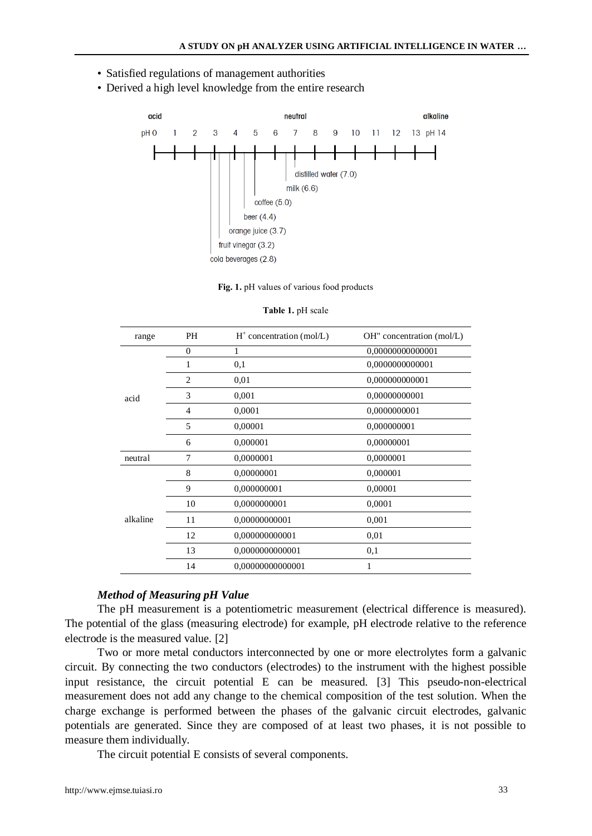- Satisfied regulations of management authorities
- Derived a high level knowledge from the entire research



**Fig. 1.** pH values of various food products

| range    | PH             | $H^+$ concentration (mol/L) | OH" concentration (mol/L) |
|----------|----------------|-----------------------------|---------------------------|
| acid     | $\mathbf{0}$   | 1                           | 0,00000000000001          |
|          |                | 0,1                         | 0,0000000000001           |
|          | $\overline{c}$ | 0,01                        | 0,000000000001            |
|          | 3              | 0,001                       | 0,00000000001             |
|          | 4              | 0,0001                      | 0,0000000001              |
|          | 5              | 0,00001                     | 0,000000001               |
|          | 6              | 0,000001                    | 0,00000001                |
| neutral  | 7              | 0,0000001                   | 0,0000001                 |
| alkaline | 8              | 0,00000001                  | 0,000001                  |
|          | 9              | 0,000000001                 | 0,00001                   |
|          | 10             | 0,0000000001                | 0,0001                    |
|          | 11             | 0,00000000001               | 0,001                     |
|          | 12             | 0,000000000001              | 0,01                      |
|          | 13             | 0,0000000000001             | 0,1                       |
|          | 14             | 0,00000000000001            | 1                         |

#### **Table 1.** pH scale

### *Method of Measuring pH Value*

The pH measurement is a potentiometric measurement (electrical difference is measured). The potential of the glass (measuring electrode) for example, pH electrode relative to the reference electrode is the measured value. [2]

Two or more metal conductors interconnected by one or more electrolytes form a galvanic circuit. By connecting the two conductors (electrodes) to the instrument with the highest possible input resistance, the circuit potential E can be measured. [3] This pseudo-non-electrical measurement does not add any change to the chemical composition of the test solution. When the charge exchange is performed between the phases of the galvanic circuit electrodes, galvanic potentials are generated. Since they are composed of at least two phases, it is not possible to measure them individually.

The circuit potential E consists of several components.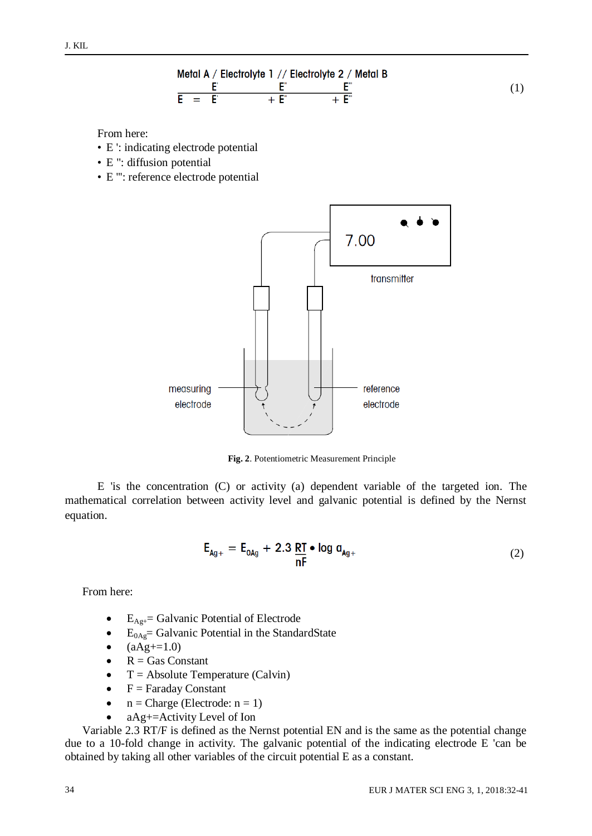

From here:

- E ': indicating electrode potential
- E ": diffusion potential
- E ''': reference electrode potential



**Fig. 2**. Potentiometric Measurement Principle

E 'is the concentration (C) or activity (a) dependent variable of the targeted ion. The mathematical correlation between activity level and galvanic potential is defined by the Nernst equation.

$$
\mathsf{E}_{\mathsf{Ag}+} = \mathsf{E}_{\mathsf{OAg}} + 2.3 \, \frac{\mathsf{RT}}{\mathsf{nF}} \bullet \log \mathsf{a}_{\mathsf{Ag}+} \tag{2}
$$

From here:

- $\bullet$  E<sub>Ag+</sub>= Galvanic Potential of Electrode
- $E_{0Ag}$ = Galvanic Potential in the StandardState
- $(aAg+=1.0)$
- $\bullet$  R = Gas Constant
- $\bullet$  T = Absolute Temperature (Calvin)
- $\bullet$  F = Faraday Constant
- $n = Charge (Electrode: n = 1)$
- aAg+=Activity Level of Ion

Variable 2.3 RT/F is defined as the Nernst potential EN and is the same as the potential change due to a 10-fold change in activity. The galvanic potential of the indicating electrode E 'can be obtained by taking all other variables of the circuit potential E as a constant.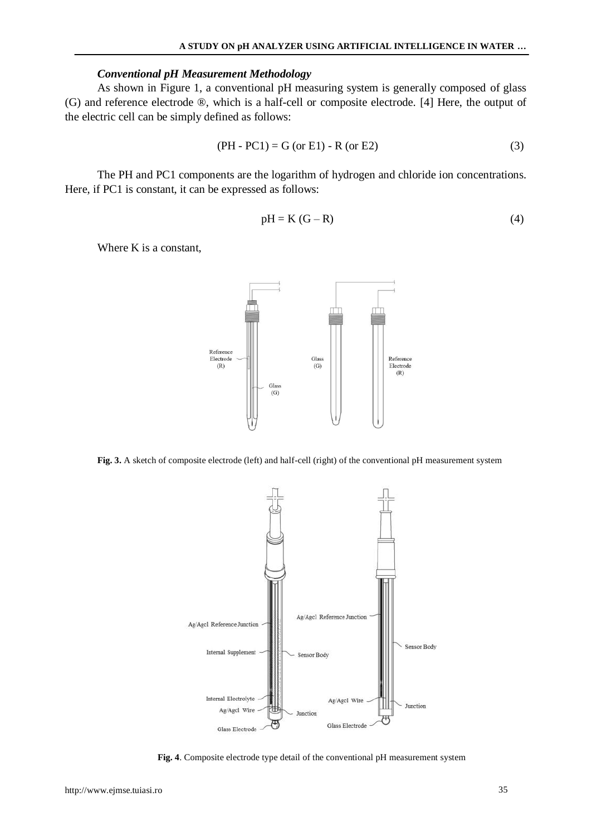### *Conventional pH Measurement Methodology*

As shown in Figure 1, a conventional pH measuring system is generally composed of glass (G) and reference electrode ®, which is a half-cell or composite electrode. [4] Here, the output of the electric cell can be simply defined as follows:

$$
(PH - PC1) = G (or E1) - R (or E2)
$$
 (3)

The PH and PC1 components are the logarithm of hydrogen and chloride ion concentrations. Here, if PC1 is constant, it can be expressed as follows:

$$
pH = K(G - R)
$$
\n<sup>(4)</sup>

Where K is a constant,



**Fig. 3.** A sketch of composite electrode (left) and half-cell (right) of the conventional pH measurement system



**Fig. 4**. Composite electrode type detail of the conventional pH measurement system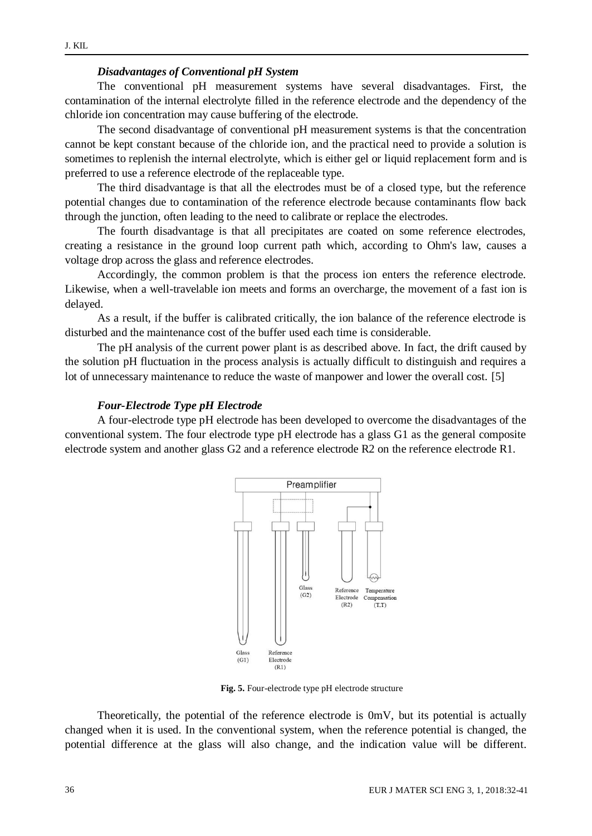### *Disadvantages of Conventional pH System*

The conventional pH measurement systems have several disadvantages. First, the contamination of the internal electrolyte filled in the reference electrode and the dependency of the chloride ion concentration may cause buffering of the electrode.

The second disadvantage of conventional pH measurement systems is that the concentration cannot be kept constant because of the chloride ion, and the practical need to provide a solution is sometimes to replenish the internal electrolyte, which is either gel or liquid replacement form and is preferred to use a reference electrode of the replaceable type.

The third disadvantage is that all the electrodes must be of a closed type, but the reference potential changes due to contamination of the reference electrode because contaminants flow back through the junction, often leading to the need to calibrate or replace the electrodes.

The fourth disadvantage is that all precipitates are coated on some reference electrodes, creating a resistance in the ground loop current path which, according to Ohm's law, causes a voltage drop across the glass and reference electrodes.

Accordingly, the common problem is that the process ion enters the reference electrode. Likewise, when a well-travelable ion meets and forms an overcharge, the movement of a fast ion is delayed.

As a result, if the buffer is calibrated critically, the ion balance of the reference electrode is disturbed and the maintenance cost of the buffer used each time is considerable.

The pH analysis of the current power plant is as described above. In fact, the drift caused by the solution pH fluctuation in the process analysis is actually difficult to distinguish and requires a lot of unnecessary maintenance to reduce the waste of manpower and lower the overall cost. [5]

#### *Four-Electrode Type pH Electrode*

A four-electrode type pH electrode has been developed to overcome the disadvantages of the conventional system. The four electrode type pH electrode has a glass G1 as the general composite electrode system and another glass G2 and a reference electrode R2 on the reference electrode R1.



**Fig. 5.** Four-electrode type pH electrode structure

Theoretically, the potential of the reference electrode is 0mV, but its potential is actually changed when it is used. In the conventional system, when the reference potential is changed, the potential difference at the glass will also change, and the indication value will be different.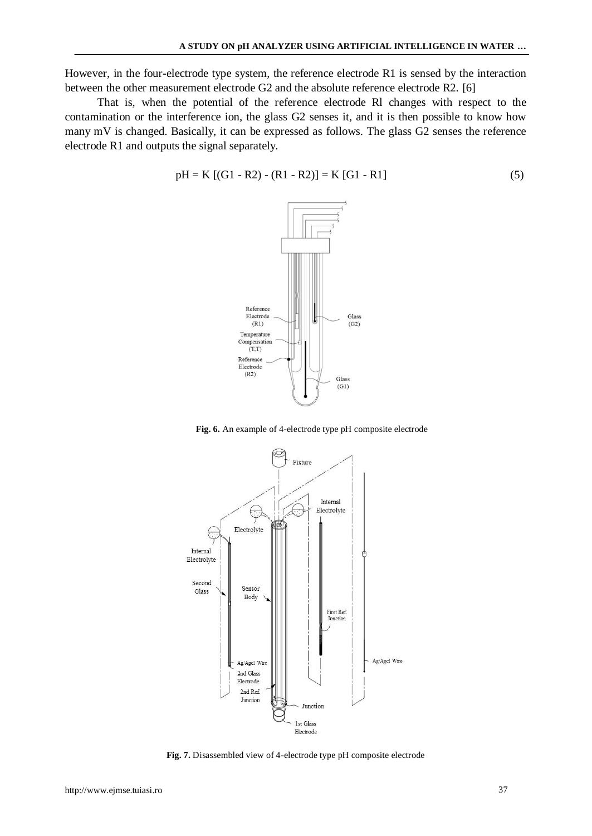However, in the four-electrode type system, the reference electrode R1 is sensed by the interaction between the other measurement electrode G2 and the absolute reference electrode R2. [6]

That is, when the potential of the reference electrode Rl changes with respect to the contamination or the interference ion, the glass G2 senses it, and it is then possible to know how many mV is changed. Basically, it can be expressed as follows. The glass G2 senses the reference electrode R1 and outputs the signal separately.

$$
pH = K [(G1 - R2) - (R1 - R2)] = K [G1 - R1]
$$
\n(5)



**Fig. 6.** An example of 4-electrode type pH composite electrode



**Fig. 7.** Disassembled view of 4-electrode type pH composite electrode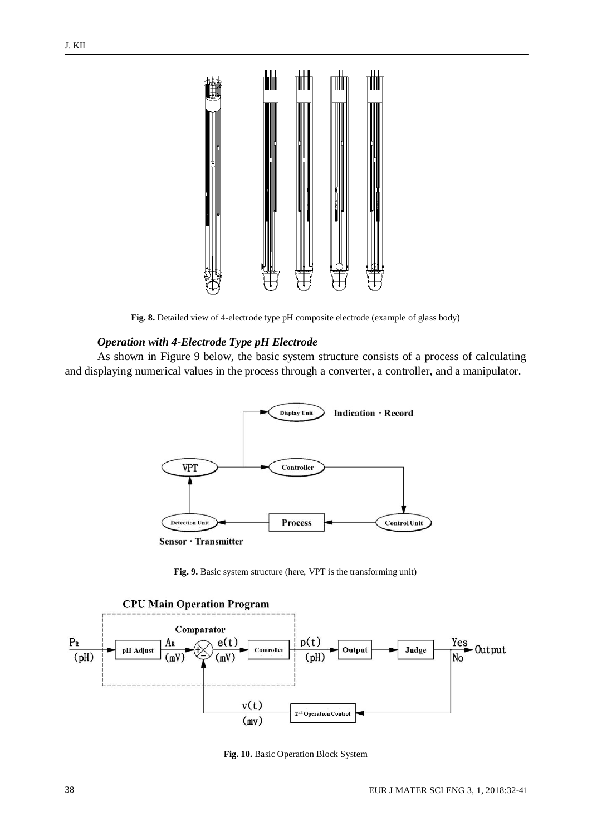

**Fig. 8.** Detailed view of 4-electrode type pH composite electrode (example of glass body)

### *Operation with 4-Electrode Type pH Electrode*

As shown in Figure 9 below, the basic system structure consists of a process of calculating and displaying numerical values in the process through a converter, a controller, and a manipulator.



**Fig. 9.** Basic system structure (here, VPT is the transforming unit)



**Fig. 10.** Basic Operation Block System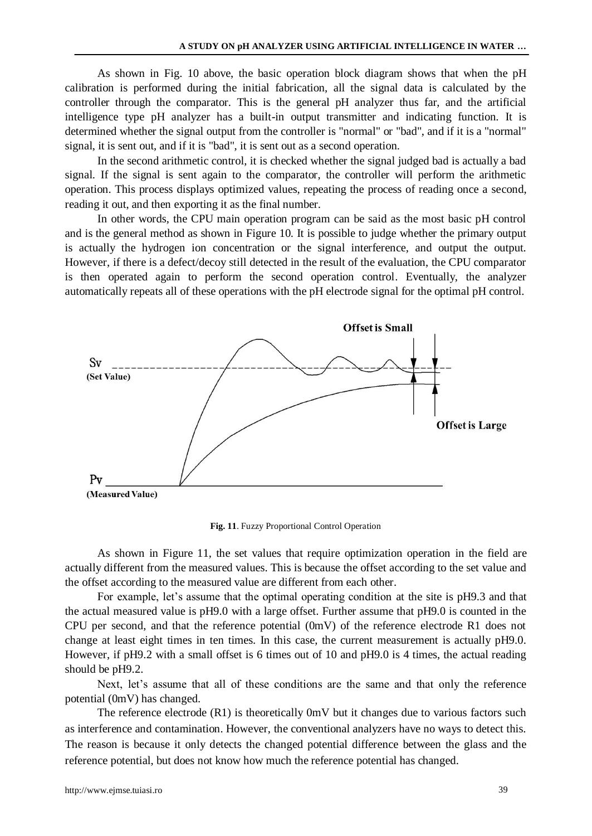As shown in Fig. 10 above, the basic operation block diagram shows that when the pH calibration is performed during the initial fabrication, all the signal data is calculated by the controller through the comparator. This is the general pH analyzer thus far, and the artificial intelligence type pH analyzer has a built-in output transmitter and indicating function. It is determined whether the signal output from the controller is "normal" or "bad", and if it is a "normal" signal, it is sent out, and if it is "bad", it is sent out as a second operation.

In the second arithmetic control, it is checked whether the signal judged bad is actually a bad signal. If the signal is sent again to the comparator, the controller will perform the arithmetic operation. This process displays optimized values, repeating the process of reading once a second, reading it out, and then exporting it as the final number.

In other words, the CPU main operation program can be said as the most basic pH control and is the general method as shown in Figure 10. It is possible to judge whether the primary output is actually the hydrogen ion concentration or the signal interference, and output the output. However, if there is a defect/decoy still detected in the result of the evaluation, the CPU comparator is then operated again to perform the second operation control. Eventually, the analyzer automatically repeats all of these operations with the pH electrode signal for the optimal pH control.



**Fig. 11**. Fuzzy Proportional Control Operation

As shown in Figure 11, the set values that require optimization operation in the field are actually different from the measured values. This is because the offset according to the set value and the offset according to the measured value are different from each other.

For example, let's assume that the optimal operating condition at the site is pH9.3 and that the actual measured value is pH9.0 with a large offset. Further assume that pH9.0 is counted in the CPU per second, and that the reference potential (0mV) of the reference electrode R1 does not change at least eight times in ten times. In this case, the current measurement is actually pH9.0. However, if pH9.2 with a small offset is 6 times out of 10 and pH9.0 is 4 times, the actual reading should be pH9.2.

Next, let's assume that all of these conditions are the same and that only the reference potential (0mV) has changed.

The reference electrode  $(R1)$  is theoretically  $0mV$  but it changes due to various factors such as interference and contamination. However, the conventional analyzers have no ways to detect this. The reason is because it only detects the changed potential difference between the glass and the reference potential, but does not know how much the reference potential has changed.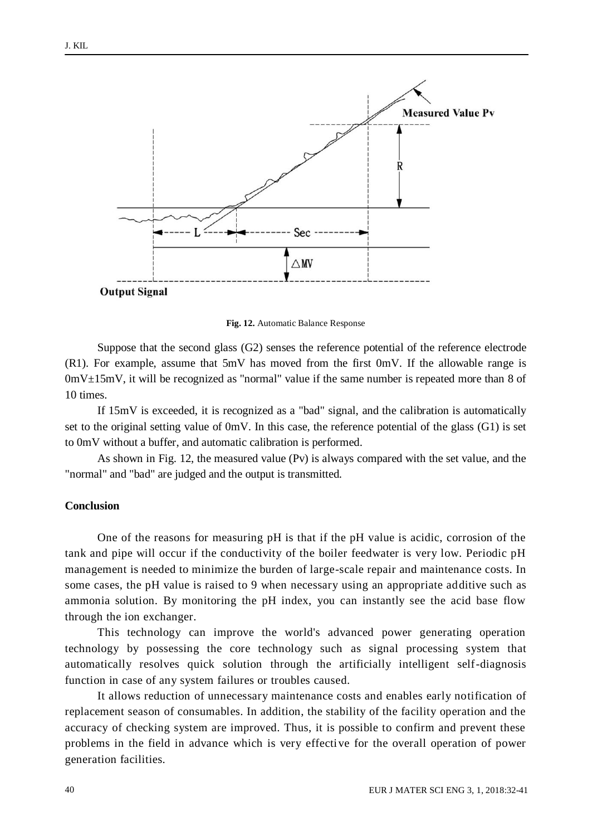

**Fig. 12.** Automatic Balance Response

Suppose that the second glass (G2) senses the reference potential of the reference electrode  $(R1)$ . For example, assume that  $5mV$  has moved from the first  $0mV$ . If the allowable range is  $0mV<sub>±</sub>15mV$ , it will be recognized as "normal" value if the same number is repeated more than 8 of 10 times.

If 15mV is exceeded, it is recognized as a "bad" signal, and the calibration is automatically set to the original setting value of 0mV. In this case, the reference potential of the glass (G1) is set to 0mV without a buffer, and automatic calibration is performed.

As shown in Fig. 12, the measured value (Pv) is always compared with the set value, and the "normal" and "bad" are judged and the output is transmitted.

## **Conclusion**

One of the reasons for measuring pH is that if the pH value is acidic, corrosion of the tank and pipe will occur if the conductivity of the boiler feedwater is very low. Periodic pH management is needed to minimize the burden of large-scale repair and maintenance costs. In some cases, the pH value is raised to 9 when necessary using an appropriate additive such as ammonia solution. By monitoring the pH index, you can instantly see the acid base flow through the ion exchanger.

This technology can improve the world's advanced power generating operation technology by possessing the core technology such as signal processing system that automatically resolves quick solution through the artificially intelligent self-diagnosis function in case of any system failures or troubles caused.

It allows reduction of unnecessary maintenance costs and enables early notification of replacement season of consumables. In addition, the stability of the facility operation and the accuracy of checking system are improved. Thus, it is possible to confirm and prevent these problems in the field in advance which is very effective for the overall operation of power generation facilities.